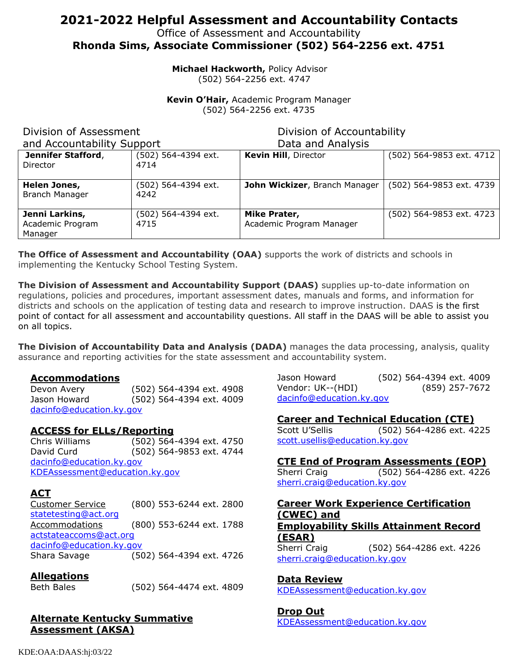# **2021-2022 Helpful Assessment and Accountability Contacts**

Office of Assessment and Accountability

**Rhonda Sims, Associate Commissioner (502) 564-2256 ext. 4751**

**Michael Hackworth,** Policy Advisor (502) 564-2256 ext. 4747

**Kevin O'Hair,** Academic Program Manager (502) 564-2256 ext. 4735

## Division of Assessment

Division of Accountability

|  | and Accountability Support |  |
|--|----------------------------|--|
|--|----------------------------|--|

Data and Analysis

| <u>ouppoi</u>         |                     | <b>PULU UNU / 111U1 / 919</b> |                          |
|-----------------------|---------------------|-------------------------------|--------------------------|
| Jennifer Stafford,    | (502) 564-4394 ext. | <b>Kevin Hill, Director</b>   | (502) 564-9853 ext. 4712 |
| Director              | 4714                |                               |                          |
|                       |                     |                               |                          |
| Helen Jones,          | (502) 564-4394 ext. | John Wickizer, Branch Manager | (502) 564-9853 ext. 4739 |
| <b>Branch Manager</b> | 4242                |                               |                          |
|                       |                     |                               |                          |
| Jenni Larkins,        | (502) 564-4394 ext. | Mike Prater,                  | (502) 564-9853 ext. 4723 |
| Academic Program      | 4715                | Academic Program Manager      |                          |
| Manager               |                     |                               |                          |

**The Office of Assessment and Accountability (OAA)** supports the work of districts and schools in implementing the Kentucky School Testing System.

**The Division of Assessment and Accountability Support (DAAS)** supplies up-to-date information on regulations, policies and procedures, important assessment dates, manuals and forms, and information for districts and schools on the application of testing data and research to improve instruction. DAAS is the first point of contact for all assessment and accountability questions. All staff in the DAAS will be able to assist you on all topics.

**The Division of Accountability Data and Analysis (DADA)** manages the data processing, analysis, quality assurance and reporting activities for the state assessment and accountability system.

#### **Accommodations**

Devon Avery (502) 564-4394 ext. 4908 Jason Howard (502) 564-4394 ext. 4009 [dacinfo@education.ky.gov](mailto:dacinfo@education.ky.gov)

#### **ACCESS for ELLs/Reporting**

Chris Williams (502) 564-4394 ext. 4750 David Curd (502) 564-9853 ext. 4744 [dacinfo@education.ky.gov](mailto:dacinfo@education.ky.gov) [KDEAssessment@education.ky.gov](mailto:KDEAssessment@education.ky.gov)

#### **ACT**

Customer Service (800) 553-6244 ext. 2800 [statetesting@act.org](mailto:statetesting@act.org) Accommodations (800) 553-6244 ext. 1788 [actstateaccoms@act.org](mailto:actstateaccoms@act.org) [dacinfo@education.ky.gov](mailto:dacinfo@education.ky.gov) Shara Savage (502) 564-4394 ext. 4726

#### **Allegations**

Beth Bales (502) 564-4474 ext. 4809

**Alternate Kentucky Summative Assessment (AKSA)**

Jason Howard (502) 564-4394 ext. 4009 Vendor: UK--(HDI) (859) 257-7672 [dacinfo@education.ky.gov](mailto:dacinfo@education.ky.gov)

#### **Career and Technical Education (CTE)**

Scott U'Sellis (502) 564-4286 ext. 4225 [scott.usellis@education.ky.gov](mailto:scott.usellis@education.ky.gov)

#### **CTE End of Program Assessments (EOP)**

Sherri Craig (502) 564-4286 ext. 4226 [sherri.craig@education.ky.gov](mailto:Sherri.craig@education.ky.gov)

#### **Career Work Experience Certification (CWEC) and Employability Skills Attainment Record**

**(ESAR)** Sherri Craig (502) 564-4286 ext. 4226 [sherri.craig@education.ky.gov](mailto:sherri.craig@education.ky.gov)

**Data Review**

[KDEAssessment@education.ky.gov](mailto:KDEAssessment@education.ky.gov)

**Drop Out** [KDEAssessment@education.ky.gov](mailto:KDEAssessment@education.ky.gov)